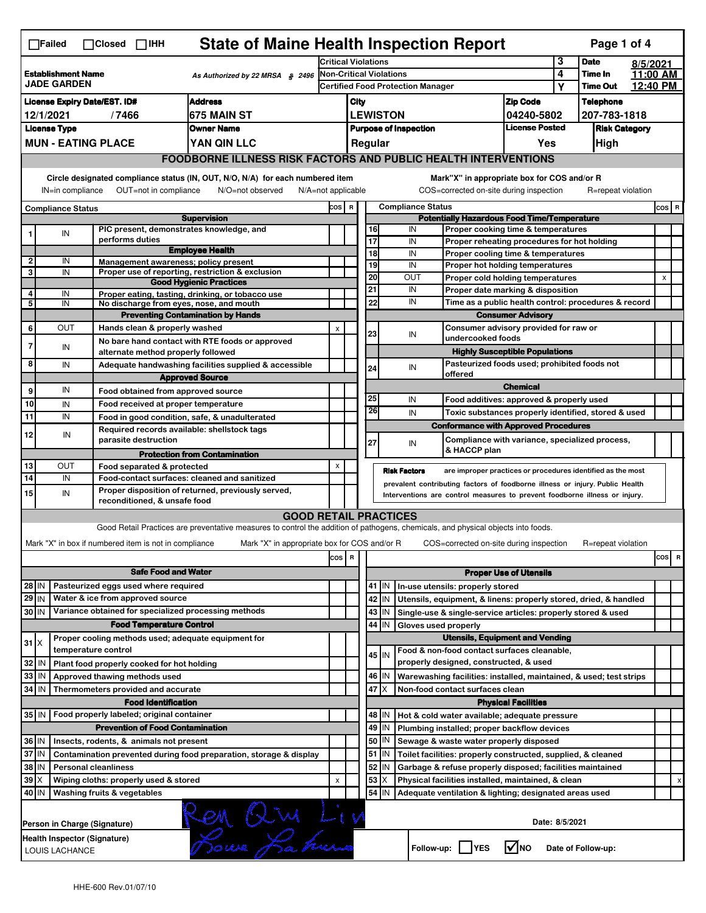| $\Box$ Failed<br>$\Box$ Closed $\Box$ IHH                                          |                                          |                                                                     |                                                                                                                                   |                                                    |                         | <b>State of Maine Health Inspection Report</b> |           |                                                                                        |                                       |                |                    | Page 1 of 4 |                |   |
|------------------------------------------------------------------------------------|------------------------------------------|---------------------------------------------------------------------|-----------------------------------------------------------------------------------------------------------------------------------|----------------------------------------------------|-------------------------|------------------------------------------------|-----------|----------------------------------------------------------------------------------------|---------------------------------------|----------------|--------------------|-------------|----------------|---|
| <b>Establishment Name</b><br>As Authorized by 22 MRSA § 2496<br><b>JADE GARDEN</b> |                                          |                                                                     | <b>Critical Violations</b>                                                                                                        |                                                    |                         |                                                |           |                                                                                        | 3                                     | <b>Date</b>    | 8/5/2021           |             |                |   |
|                                                                                    |                                          |                                                                     | Non-Critical Violations<br>Certified Food Protection Manager                                                                      |                                                    |                         |                                                |           |                                                                                        | 4                                     | <b>Time In</b> | 11:00 AM           |             |                |   |
| <b>Address</b>                                                                     |                                          |                                                                     |                                                                                                                                   |                                                    |                         |                                                |           |                                                                                        |                                       | Υ              | <b>Time Out</b>    | 12:40 PM    |                |   |
| <b>License Expiry Date/EST. ID#</b>                                                |                                          |                                                                     |                                                                                                                                   | <b>Zip Code</b><br>City                            |                         |                                                |           |                                                                                        |                                       |                | <b>Telephone</b>   |             |                |   |
| 675 MAIN ST<br>12/1/2021<br>/7466                                                  |                                          |                                                                     | <b>LEWISTON</b><br>04240-5802                                                                                                     |                                                    |                         |                                                |           |                                                                                        | 207-783-1818                          |                |                    |             |                |   |
| <b>License Type</b><br><b>Owner Name</b>                                           |                                          |                                                                     | <b>License Posted</b><br><b>Purpose of Inspection</b><br>Regular                                                                  |                                                    |                         |                                                |           |                                                                                        | <b>Risk Category</b>                  |                |                    |             |                |   |
|                                                                                    | <b>MUN - EATING PLACE</b><br>YAN QIN LLC |                                                                     |                                                                                                                                   |                                                    |                         |                                                |           |                                                                                        | Yes                                   |                | High               |             |                |   |
|                                                                                    |                                          |                                                                     | <b>FOODBORNE ILLNESS RISK FACTORS AND PUBLIC HEALTH INTERVENTIONS</b>                                                             |                                                    |                         |                                                |           |                                                                                        |                                       |                |                    |             |                |   |
|                                                                                    | IN=in compliance                         | OUT=not in compliance                                               | Circle designated compliance status (IN, OUT, N/O, N/A) for each numbered item<br>N/O=not observed<br>N/A=not applicable          |                                                    |                         |                                                |           | Mark"X" in appropriate box for COS and/or R<br>COS=corrected on-site during inspection |                                       |                | R=repeat violation |             |                |   |
|                                                                                    | <b>Compliance Status</b>                 |                                                                     |                                                                                                                                   | COS R                                              |                         |                                                |           | <b>Compliance Status</b>                                                               |                                       |                |                    |             | COS R          |   |
| <b>Supervision</b>                                                                 |                                          |                                                                     |                                                                                                                                   | <b>Potentially Hazardous Food Time/Temperature</b> |                         |                                                |           |                                                                                        |                                       |                |                    |             |                |   |
| 1                                                                                  | IN                                       | PIC present, demonstrates knowledge, and                            |                                                                                                                                   |                                                    |                         | 16                                             |           | IN<br>Proper cooking time & temperatures                                               |                                       |                |                    |             |                |   |
|                                                                                    |                                          | performs duties                                                     | <b>Employee Health</b>                                                                                                            |                                                    |                         | 17<br>18                                       |           | IN<br>Proper reheating procedures for hot holding<br>IN                                |                                       |                |                    |             |                |   |
| $\overline{2}$                                                                     | IN                                       | Management awareness: policy present                                |                                                                                                                                   |                                                    |                         | 19                                             |           | Proper cooling time & temperatures<br>IN<br>Proper hot holding temperatures            |                                       |                |                    |             |                |   |
| 3                                                                                  | IN                                       |                                                                     | Proper use of reporting, restriction & exclusion                                                                                  |                                                    |                         | 20                                             |           | OUT<br>Proper cold holding temperatures                                                |                                       |                |                    |             | $\pmb{\times}$ |   |
|                                                                                    |                                          |                                                                     | <b>Good Hygienic Practices</b>                                                                                                    |                                                    |                         | 21                                             |           | IN<br>Proper date marking & disposition                                                |                                       |                |                    |             |                |   |
| 4<br>5                                                                             | IN<br>IN                                 | No discharge from eyes, nose, and mouth                             | Proper eating, tasting, drinking, or tobacco use                                                                                  |                                                    |                         | 22                                             |           | IN<br>Time as a public health control: procedures & record                             |                                       |                |                    |             |                |   |
|                                                                                    |                                          |                                                                     | <b>Preventing Contamination by Hands</b>                                                                                          |                                                    |                         |                                                |           |                                                                                        | <b>Consumer Advisory</b>              |                |                    |             |                |   |
| 6                                                                                  | Ουτ                                      | Hands clean & properly washed                                       |                                                                                                                                   |                                                    |                         |                                                |           | Consumer advisory provided for raw or                                                  |                                       |                |                    |             |                |   |
|                                                                                    |                                          |                                                                     | No bare hand contact with RTE foods or approved                                                                                   | X                                                  |                         | 23                                             |           | IN<br>undercooked foods                                                                |                                       |                |                    |             |                |   |
| $\overline{7}$                                                                     | IN                                       | alternate method properly followed                                  |                                                                                                                                   |                                                    |                         |                                                |           |                                                                                        | <b>Highly Susceptible Populations</b> |                |                    |             |                |   |
| 8                                                                                  | IN                                       |                                                                     | Adequate handwashing facilities supplied & accessible                                                                             |                                                    |                         |                                                |           | Pasteurized foods used; prohibited foods not                                           |                                       |                |                    |             |                |   |
|                                                                                    |                                          |                                                                     | <b>Approved Source</b>                                                                                                            |                                                    |                         | 24                                             |           | IN<br>offered                                                                          |                                       |                |                    |             |                |   |
| 9                                                                                  | IN                                       | Food obtained from approved source                                  |                                                                                                                                   |                                                    |                         |                                                |           |                                                                                        | <b>Chemical</b>                       |                |                    |             |                |   |
| 10                                                                                 |                                          |                                                                     |                                                                                                                                   |                                                    |                         | 25                                             |           | IN<br>Food additives: approved & properly used                                         |                                       |                |                    |             |                |   |
| 11                                                                                 | IN<br>IN                                 | Food received at proper temperature                                 |                                                                                                                                   |                                                    |                         | 26                                             |           | IN<br>Toxic substances properly identified, stored & used                              |                                       |                |                    |             |                |   |
|                                                                                    |                                          |                                                                     | Food in good condition, safe, & unadulterated                                                                                     |                                                    |                         |                                                |           | <b>Conformance with Approved Procedures</b>                                            |                                       |                |                    |             |                |   |
| 12                                                                                 | IN                                       | Required records available: shellstock tags<br>parasite destruction |                                                                                                                                   |                                                    |                         |                                                |           | Compliance with variance, specialized process,                                         |                                       |                |                    |             |                |   |
|                                                                                    |                                          |                                                                     |                                                                                                                                   |                                                    |                         | 27                                             |           | IN<br>& HACCP plan                                                                     |                                       |                |                    |             |                |   |
| 13                                                                                 | ΟUΤ                                      | Food separated & protected                                          | <b>Protection from Contamination</b>                                                                                              | X                                                  |                         |                                                |           |                                                                                        |                                       |                |                    |             |                |   |
| 14                                                                                 | IN                                       |                                                                     | Food-contact surfaces: cleaned and sanitized                                                                                      |                                                    |                         |                                                |           | <b>Risk Factors</b><br>are improper practices or procedures identified as the most     |                                       |                |                    |             |                |   |
| 15                                                                                 |                                          |                                                                     | Proper disposition of returned, previously served,                                                                                |                                                    |                         |                                                |           | prevalent contributing factors of foodborne illness or injury. Public Health           |                                       |                |                    |             |                |   |
|                                                                                    | IN                                       | reconditioned, & unsafe food                                        |                                                                                                                                   |                                                    |                         |                                                |           | Interventions are control measures to prevent foodborne illness or injury.             |                                       |                |                    |             |                |   |
|                                                                                    |                                          |                                                                     | <b>GOOD RETAIL PRACTICES</b>                                                                                                      |                                                    |                         |                                                |           |                                                                                        |                                       |                |                    |             |                |   |
|                                                                                    |                                          |                                                                     | Good Retail Practices are preventative measures to control the addition of pathogens, chemicals, and physical objects into foods. |                                                    |                         |                                                |           |                                                                                        |                                       |                |                    |             |                |   |
|                                                                                    |                                          | Mark "X" in box if numbered item is not in compliance               | Mark "X" in appropriate box for COS and/or R                                                                                      |                                                    |                         |                                                |           | COS=corrected on-site during inspection                                                |                                       |                | R=repeat violation |             |                |   |
|                                                                                    |                                          |                                                                     |                                                                                                                                   |                                                    | $\overline{\mathbf{R}}$ |                                                |           |                                                                                        |                                       |                |                    |             | cos            | R |
|                                                                                    |                                          |                                                                     |                                                                                                                                   | cos                                                |                         |                                                |           |                                                                                        |                                       |                |                    |             |                |   |
|                                                                                    |                                          | <b>Safe Food and Water</b>                                          |                                                                                                                                   |                                                    |                         |                                                |           |                                                                                        | <b>Proper Use of Utensils</b>         |                |                    |             |                |   |
| 28 IN                                                                              |                                          | Pasteurized eggs used where required                                |                                                                                                                                   |                                                    |                         |                                                | 41 J IN   | In-use utensils: properly stored                                                       |                                       |                |                    |             |                |   |
| $29$ IN                                                                            |                                          | Water & ice from approved source                                    |                                                                                                                                   |                                                    |                         |                                                | 42 IN     | Utensils, equipment, & linens: properly stored, dried, & handled                       |                                       |                |                    |             |                |   |
| 30 IN                                                                              |                                          | Variance obtained for specialized processing methods                |                                                                                                                                   |                                                    |                         |                                                | $43$   IN | Single-use & single-service articles: properly stored & used                           |                                       |                |                    |             |                |   |
|                                                                                    |                                          | <b>Food Temperature Control</b>                                     |                                                                                                                                   |                                                    |                         | 44                                             | IN        | Gloves used properly                                                                   |                                       |                |                    |             |                |   |
| $31$ $X$                                                                           |                                          | Proper cooling methods used; adequate equipment for                 |                                                                                                                                   |                                                    |                         |                                                |           |                                                                                        |                                       |                |                    |             |                |   |
|                                                                                    |                                          |                                                                     |                                                                                                                                   |                                                    |                         |                                                |           | <b>Utensils, Equipment and Vending</b>                                                 |                                       |                |                    |             |                |   |
|                                                                                    |                                          | temperature control                                                 |                                                                                                                                   |                                                    |                         |                                                | $45$ IN   | Food & non-food contact surfaces cleanable,                                            |                                       |                |                    |             |                |   |
| 32                                                                                 | IN                                       | Plant food properly cooked for hot holding                          |                                                                                                                                   |                                                    |                         |                                                |           | properly designed, constructed, & used                                                 |                                       |                |                    |             |                |   |
| 33                                                                                 | IN                                       | Approved thawing methods used                                       |                                                                                                                                   |                                                    |                         |                                                | 46 IN     | Warewashing facilities: installed, maintained, & used; test strips                     |                                       |                |                    |             |                |   |
| 34                                                                                 | l IN                                     | Thermometers provided and accurate                                  |                                                                                                                                   |                                                    |                         |                                                | 47 I X    | Non-food contact surfaces clean                                                        |                                       |                |                    |             |                |   |
|                                                                                    |                                          | <b>Food Identification</b>                                          |                                                                                                                                   |                                                    |                         |                                                |           |                                                                                        | <b>Physical Facilities</b>            |                |                    |             |                |   |
|                                                                                    |                                          | 35 IN   Food properly labeled; original container                   |                                                                                                                                   |                                                    |                         |                                                | 48   IN   | Hot & cold water available; adequate pressure                                          |                                       |                |                    |             |                |   |
|                                                                                    |                                          | <b>Prevention of Food Contamination</b>                             |                                                                                                                                   |                                                    |                         | 49                                             | IN        | Plumbing installed; proper backflow devices                                            |                                       |                |                    |             |                |   |
| 36 IN                                                                              |                                          | Insects, rodents, & animals not present                             |                                                                                                                                   |                                                    |                         | 50                                             | IN        | Sewage & waste water properly disposed                                                 |                                       |                |                    |             |                |   |
| 37 IN                                                                              |                                          |                                                                     | Contamination prevented during food preparation, storage & display                                                                |                                                    |                         | 51                                             | IN.       | Toilet facilities: properly constructed, supplied, & cleaned                           |                                       |                |                    |             |                |   |
| 38                                                                                 | IN                                       | <b>Personal cleanliness</b>                                         |                                                                                                                                   |                                                    |                         | 52                                             | IN        | Garbage & refuse properly disposed; facilities maintained                              |                                       |                |                    |             |                |   |
| 39                                                                                 | ΙX                                       | Wiping cloths: properly used & stored                               |                                                                                                                                   | X                                                  |                         | 53                                             | ΙX        | Physical facilities installed, maintained, & clean                                     |                                       |                |                    |             |                |   |
| 40 IN                                                                              |                                          | Washing fruits & vegetables                                         |                                                                                                                                   |                                                    |                         |                                                | $54$ IN   | Adequate ventilation & lighting; designated areas used                                 |                                       |                |                    |             |                |   |
|                                                                                    |                                          | Person in Charge (Signature)                                        | COM Qui Liv                                                                                                                       |                                                    |                         |                                                |           |                                                                                        | Date: 8/5/2021                        |                |                    |             |                |   |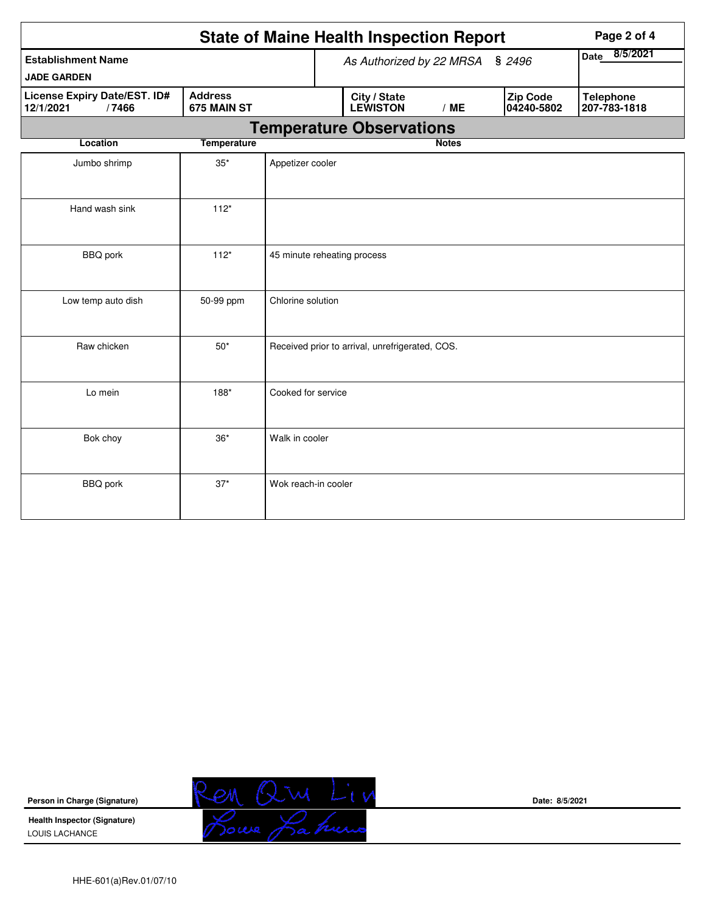|                                                    |                               |                             | <b>State of Maine Health Inspection Report</b>  |                  |                        | Page 2 of 4                      |
|----------------------------------------------------|-------------------------------|-----------------------------|-------------------------------------------------|------------------|------------------------|----------------------------------|
| <b>Establishment Name</b>                          |                               |                             | As Authorized by 22 MRSA                        | 8/5/2021<br>Date |                        |                                  |
| <b>JADE GARDEN</b>                                 |                               |                             |                                                 |                  |                        |                                  |
| License Expiry Date/EST. ID#<br>/7466<br>12/1/2021 | <b>Address</b><br>675 MAIN ST |                             | City / State<br><b>LEWISTON</b>                 | /ME              | Zip Code<br>04240-5802 | <b>Telephone</b><br>207-783-1818 |
|                                                    |                               |                             | <b>Temperature Observations</b>                 |                  |                        |                                  |
| Location                                           | <b>Temperature</b>            |                             |                                                 | <b>Notes</b>     |                        |                                  |
| Jumbo shrimp                                       | $35^{\ast}$                   | Appetizer cooler            |                                                 |                  |                        |                                  |
| Hand wash sink                                     | $112*$                        |                             |                                                 |                  |                        |                                  |
| <b>BBQ</b> pork                                    | $112*$                        | 45 minute reheating process |                                                 |                  |                        |                                  |
| Low temp auto dish                                 | 50-99 ppm                     | Chlorine solution           |                                                 |                  |                        |                                  |
| Raw chicken                                        | $50*$                         |                             | Received prior to arrival, unrefrigerated, COS. |                  |                        |                                  |
| Lo mein                                            | 188*                          | Cooked for service          |                                                 |                  |                        |                                  |
| Bok choy                                           | $36*$                         | Walk in cooler              |                                                 |                  |                        |                                  |
| <b>BBQ</b> pork                                    | $37*$                         | Wok reach-in cooler         |                                                 |                  |                        |                                  |



**Date: 8/5/2021**

HHE-601(a)Rev.01/07/10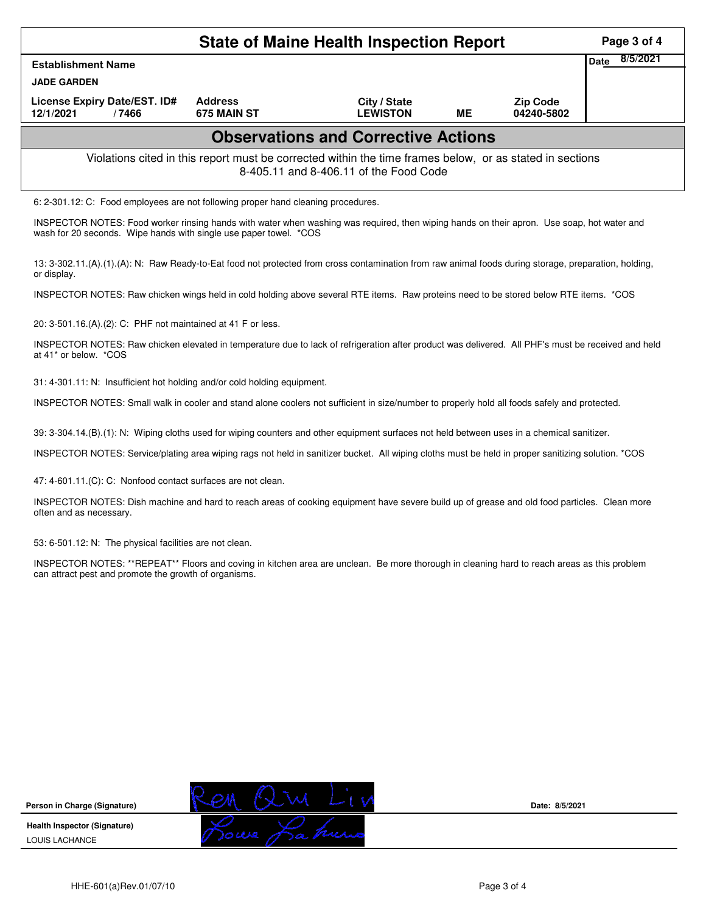| <b>State of Maine Health Inspection Report</b>                                                                                                                                                                  |                                            |                                                                                                                                       |    |                               |                         |  |  |  |  |  |
|-----------------------------------------------------------------------------------------------------------------------------------------------------------------------------------------------------------------|--------------------------------------------|---------------------------------------------------------------------------------------------------------------------------------------|----|-------------------------------|-------------------------|--|--|--|--|--|
| <b>Establishment Name</b>                                                                                                                                                                                       |                                            |                                                                                                                                       |    |                               | 8/5/2021<br><b>Date</b> |  |  |  |  |  |
| <b>JADE GARDEN</b>                                                                                                                                                                                              |                                            |                                                                                                                                       |    |                               |                         |  |  |  |  |  |
| License Expiry Date/EST. ID#<br>12/1/2021<br>/7466                                                                                                                                                              | <b>Address</b><br>675 MAIN ST              | City / State<br><b>LEWISTON</b>                                                                                                       | ME | <b>Zip Code</b><br>04240-5802 |                         |  |  |  |  |  |
|                                                                                                                                                                                                                 | <b>Observations and Corrective Actions</b> |                                                                                                                                       |    |                               |                         |  |  |  |  |  |
| Violations cited in this report must be corrected within the time frames below, or as stated in sections<br>8-405.11 and 8-406.11 of the Food Code                                                              |                                            |                                                                                                                                       |    |                               |                         |  |  |  |  |  |
| 6: 2-301.12: C: Food employees are not following proper hand cleaning procedures.                                                                                                                               |                                            |                                                                                                                                       |    |                               |                         |  |  |  |  |  |
| INSPECTOR NOTES: Food worker rinsing hands with water when washing was required, then wiping hands on their apron. Use soap, hot water and<br>wash for 20 seconds. Wipe hands with single use paper towel. *COS |                                            |                                                                                                                                       |    |                               |                         |  |  |  |  |  |
| 13: 3-302.11.(A).(1).(A): N: Raw Ready-to-Eat food not protected from cross contamination from raw animal foods during storage, preparation, holding,<br>or display.                                            |                                            |                                                                                                                                       |    |                               |                         |  |  |  |  |  |
|                                                                                                                                                                                                                 |                                            | INSPECTOR NOTES: Raw chicken wings held in cold holding above several RTE items. Raw proteins need to be stored below RTE items. *COS |    |                               |                         |  |  |  |  |  |

20: 3-501.16.(A).(2): C: PHF not maintained at 41 F or less.

INSPECTOR NOTES: Raw chicken elevated in temperature due to lack of refrigeration after product was delivered. All PHF's must be received and held at 41\* or below. \*COS

31: 4-301.11: N: Insufficient hot holding and/or cold holding equipment.

INSPECTOR NOTES: Small walk in cooler and stand alone coolers not sufficient in size/number to properly hold all foods safely and protected.

39: 3-304.14.(B).(1): N: Wiping cloths used for wiping counters and other equipment surfaces not held between uses in a chemical sanitizer.

INSPECTOR NOTES: Service/plating area wiping rags not held in sanitizer bucket. All wiping cloths must be held in proper sanitizing solution. \*COS

47: 4-601.11.(C): C: Nonfood contact surfaces are not clean.

INSPECTOR NOTES: Dish machine and hard to reach areas of cooking equipment have severe build up of grease and old food particles. Clean more often and as necessary.

53: 6-501.12: N: The physical facilities are not clean.

INSPECTOR NOTES: \*\*REPEAT\*\* Floors and coving in kitchen area are unclean. Be more thorough in cleaning hard to reach areas as this problem can attract pest and promote the growth of organisms.